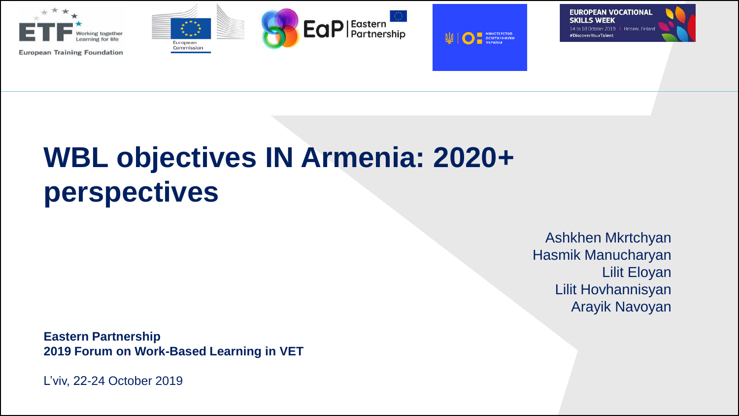

# **WBL objectives IN Armenia: 2020+ perspectives**

Ashkhen Mkrtchyan Hasmik Manucharyan Lilit Eloyan Lilit Hovhannisyan Arayik Navoyan

**Eastern Partnership 2019 Forum on Work-Based Learning in VET**

L'viv, 22-24 October 2019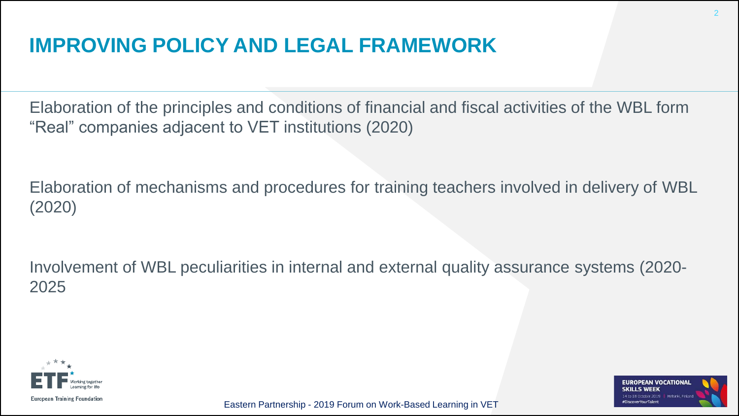## **IMPROVING POLICY AND LEGAL FRAMEWORK**

Elaboration of the principles and conditions of financial and fiscal activities of the WBL form "Real" companies adjacent to VET institutions (2020)

Elaboration of mechanisms and procedures for training teachers involved in delivery of WBL (2020)

Involvement of WBL peculiarities in internal and external quality assurance systems (2020- 2025



EUROPEAN VOCATIONA SKILI S WEEK #DiscoverYourTalent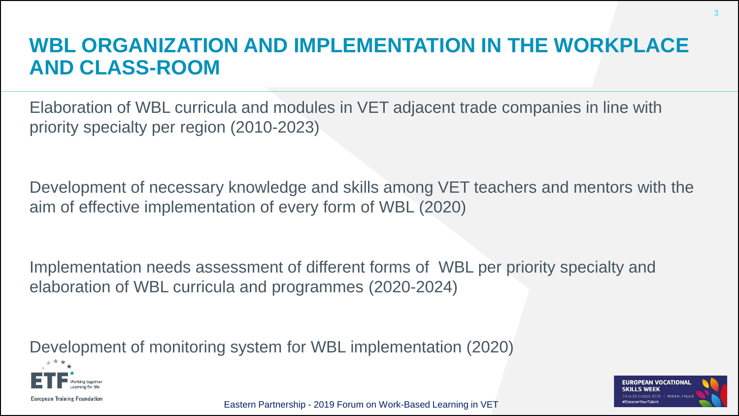#### **WBL ORGANIZATION AND IMPLEMENTATION IN THE WORKPLACE AND CLASS-ROOM**

Elaboration of WBL curricula and modules in VET adjacent trade companies in line with priority specialty per region (2010-2023)

Development of necessary knowledge and skills among VET teachers and mentors with the aim of effective implementation of every form of WBL (2020)

Implementation needs assessment of different forms of WBL per priority specialty and elaboration of WBL curricula and programmes (2020-2024)

Development of monitoring system for WBL implementation (2020)



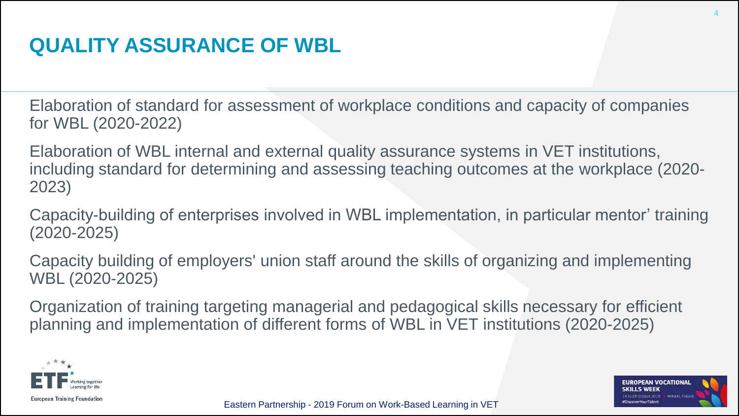## **QUALITY ASSURANCE OF WBL**

Elaboration of standard for assessment of workplace conditions and capacity of companies for WBL (2020-2022)

Elaboration of WBL internal and external quality assurance systems in VET institutions, including standard for determining and assessing teaching outcomes at the workplace (2020- 2023)

Capacity-building of enterprises involved in WBL implementation, in particular mentor' training (2020-2025)

Capacity building of employers' union staff around the skills of organizing and implementing WBL (2020-2025)

Organization of training targeting managerial and pedagogical skills necessary for efficient planning and implementation of different forms of WBL in VET institutions (2020-2025)



ROPEAN VOCATIONAI **DiscoverYourTalent**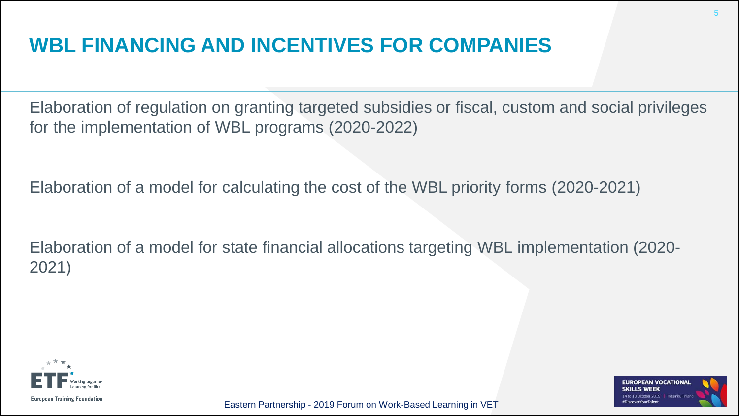## **WBL FINANCING AND INCENTIVES FOR COMPANIES**

Elaboration of regulation on granting targeted subsidies or fiscal, custom and social privileges for the implementation of WBL programs (2020-2022)

Elaboration of a model for calculating the cost of the WBL priority forms (2020-2021)

Elaboration of a model for state financial allocations targeting WBL implementation (2020- 2021)



EUROPEAN VOCATIONA SKILI S WEEK #DiscoverYourTalent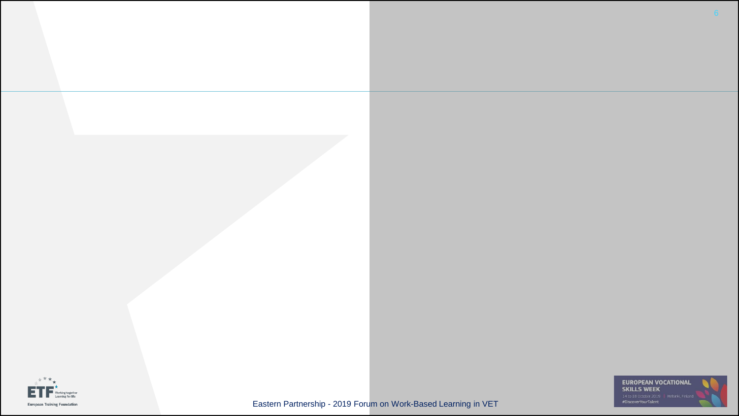

EUROPEAN VOCATIONAL<br>SKILLS WEEK

Eastern Partnership - 2019 Forum on Work-Based Learning in VET